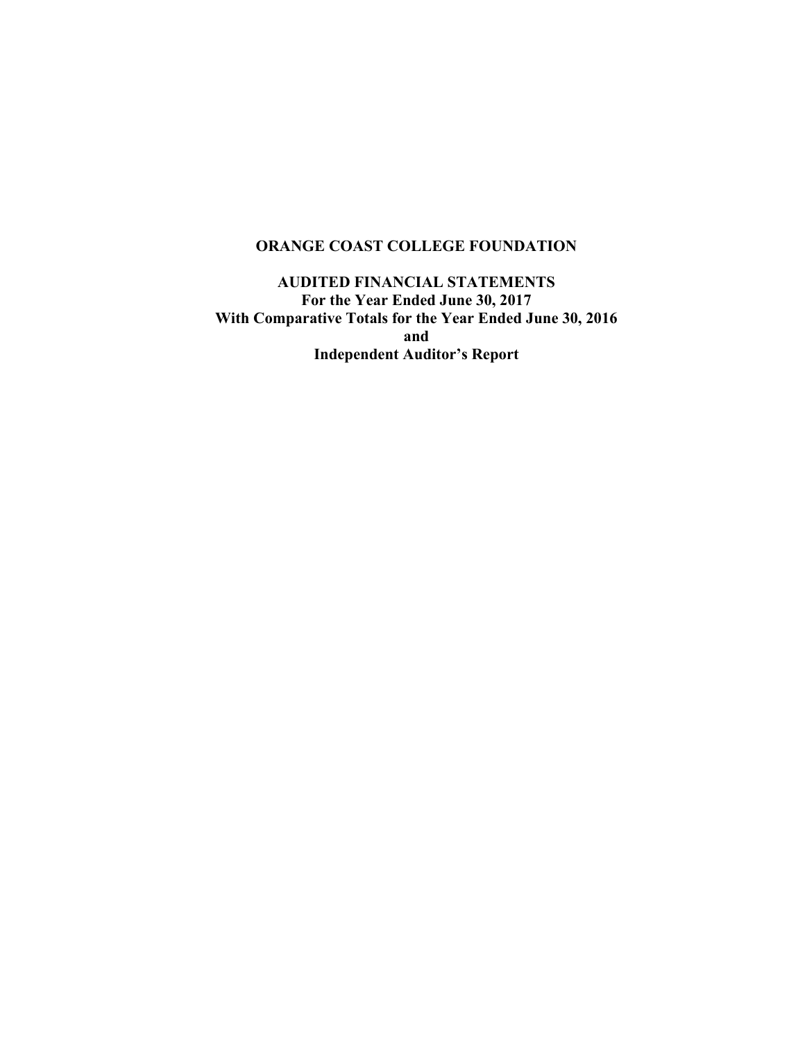**AUDITED FINANCIAL STATEMENTS For the Year Ended June 30, 2017 With Comparative Totals for the Year Ended June 30, 2016 and Independent Auditor's Report**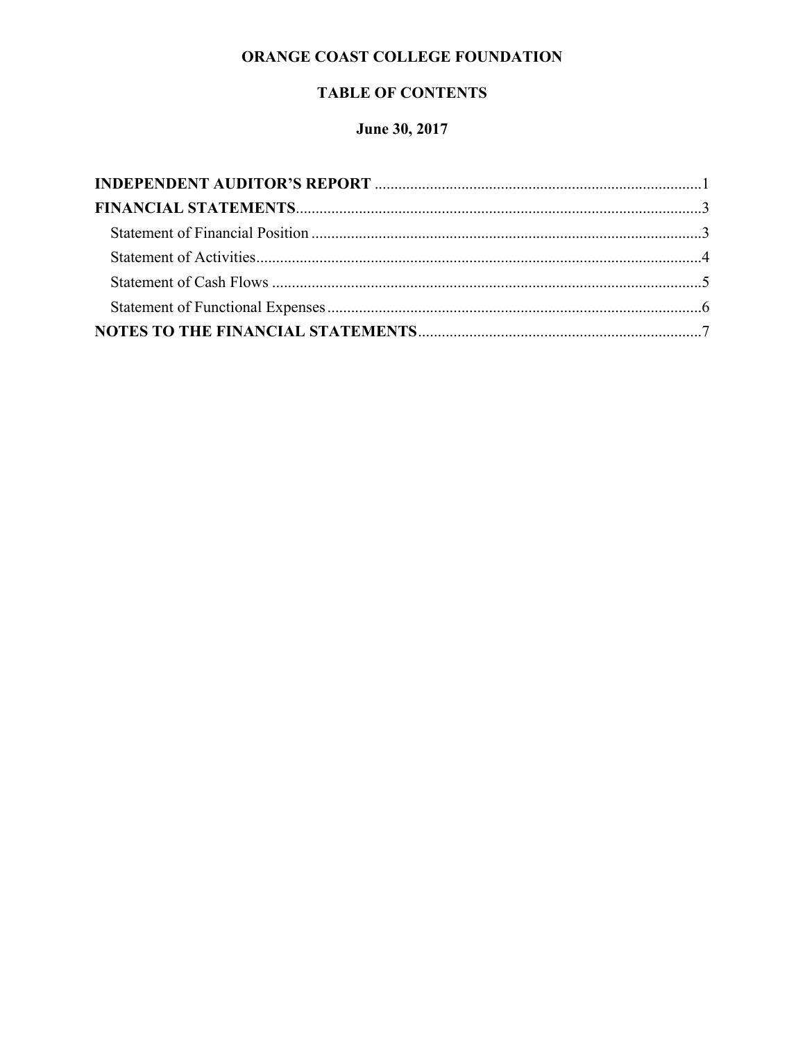# **TABLE OF CONTENTS**

# June 30, 2017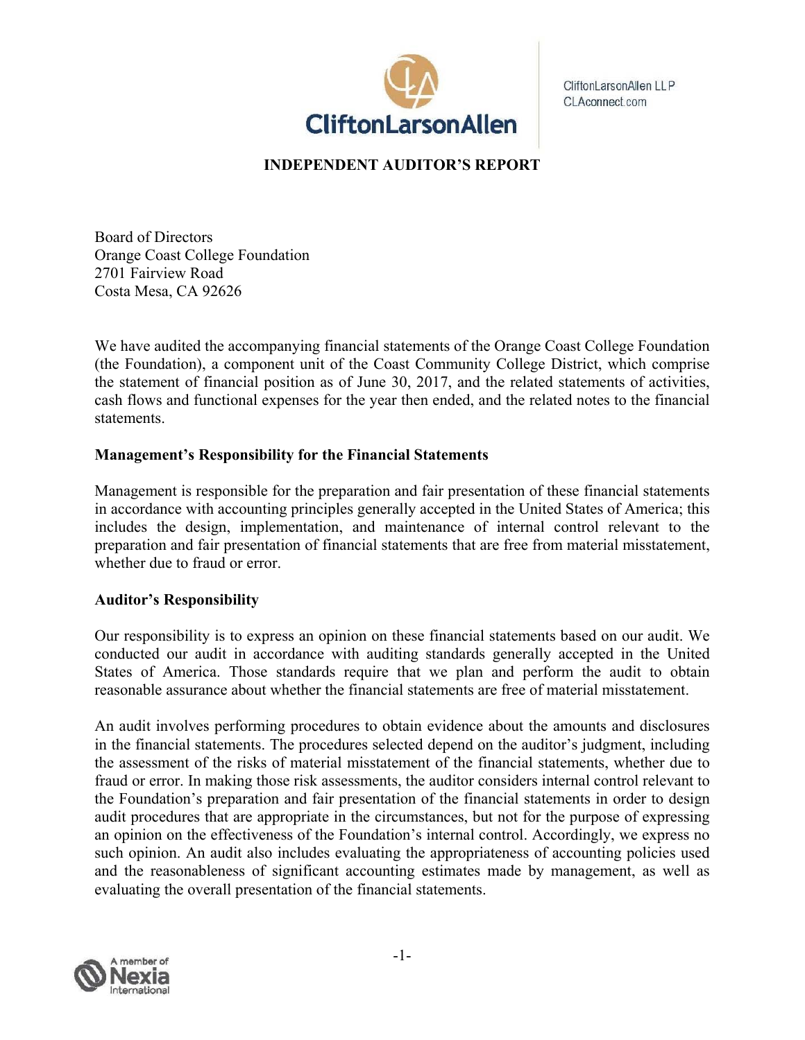

CliftonLarsonAllen LLP CLAconnect.com

# **INDEPENDENT AUDITOR'S REPORT**

Board of Directors Orange Coast College Foundation 2701 Fairview Road Costa Mesa, CA 92626

We have audited the accompanying financial statements of the Orange Coast College Foundation (the Foundation), a component unit of the Coast Community College District, which comprise the statement of financial position as of June 30, 2017, and the related statements of activities, cash flows and functional expenses for the year then ended, and the related notes to the financial statements.

# **Management's Responsibility for the Financial Statements**

Management is responsible for the preparation and fair presentation of these financial statements in accordance with accounting principles generally accepted in the United States of America; this includes the design, implementation, and maintenance of internal control relevant to the preparation and fair presentation of financial statements that are free from material misstatement, whether due to fraud or error.

# **Auditor's Responsibility**

Our responsibility is to express an opinion on these financial statements based on our audit. We conducted our audit in accordance with auditing standards generally accepted in the United States of America. Those standards require that we plan and perform the audit to obtain reasonable assurance about whether the financial statements are free of material misstatement.

An audit involves performing procedures to obtain evidence about the amounts and disclosures in the financial statements. The procedures selected depend on the auditor's judgment, including the assessment of the risks of material misstatement of the financial statements, whether due to fraud or error. In making those risk assessments, the auditor considers internal control relevant to the Foundation's preparation and fair presentation of the financial statements in order to design audit procedures that are appropriate in the circumstances, but not for the purpose of expressing an opinion on the effectiveness of the Foundation's internal control. Accordingly, we express no such opinion. An audit also includes evaluating the appropriateness of accounting policies used and the reasonableness of significant accounting estimates made by management, as well as evaluating the overall presentation of the financial statements.

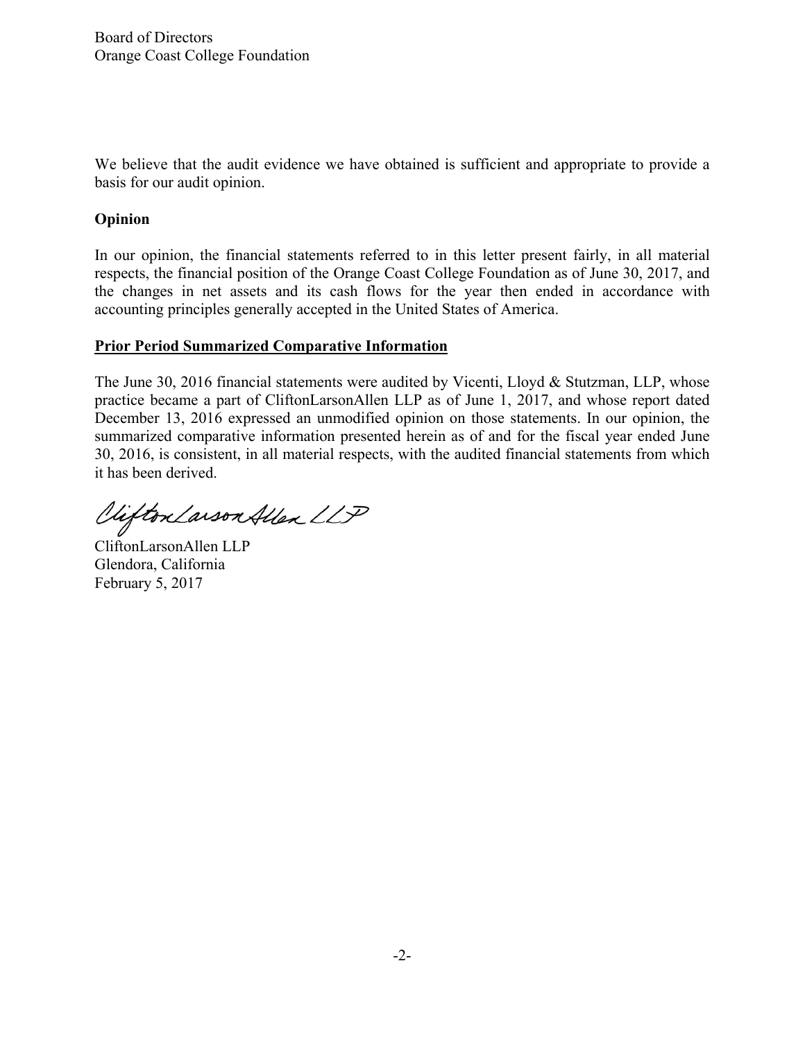We believe that the audit evidence we have obtained is sufficient and appropriate to provide a basis for our audit opinion.

# **Opinion**

In our opinion, the financial statements referred to in this letter present fairly, in all material respects, the financial position of the Orange Coast College Foundation as of June 30, 2017, and the changes in net assets and its cash flows for the year then ended in accordance with accounting principles generally accepted in the United States of America.

## **Prior Period Summarized Comparative Information**

The June 30, 2016 financial statements were audited by Vicenti, Lloyd & Stutzman, LLP, whose practice became a part of CliftonLarsonAllen LLP as of June 1, 2017, and whose report dated December 13, 2016 expressed an unmodified opinion on those statements. In our opinion, the summarized comparative information presented herein as of and for the fiscal year ended June 30, 2016, is consistent, in all material respects, with the audited financial statements from which it has been derived.

Clifton Larson Allen LLP

CliftonLarsonAllen LLP Glendora, California February 5, 2017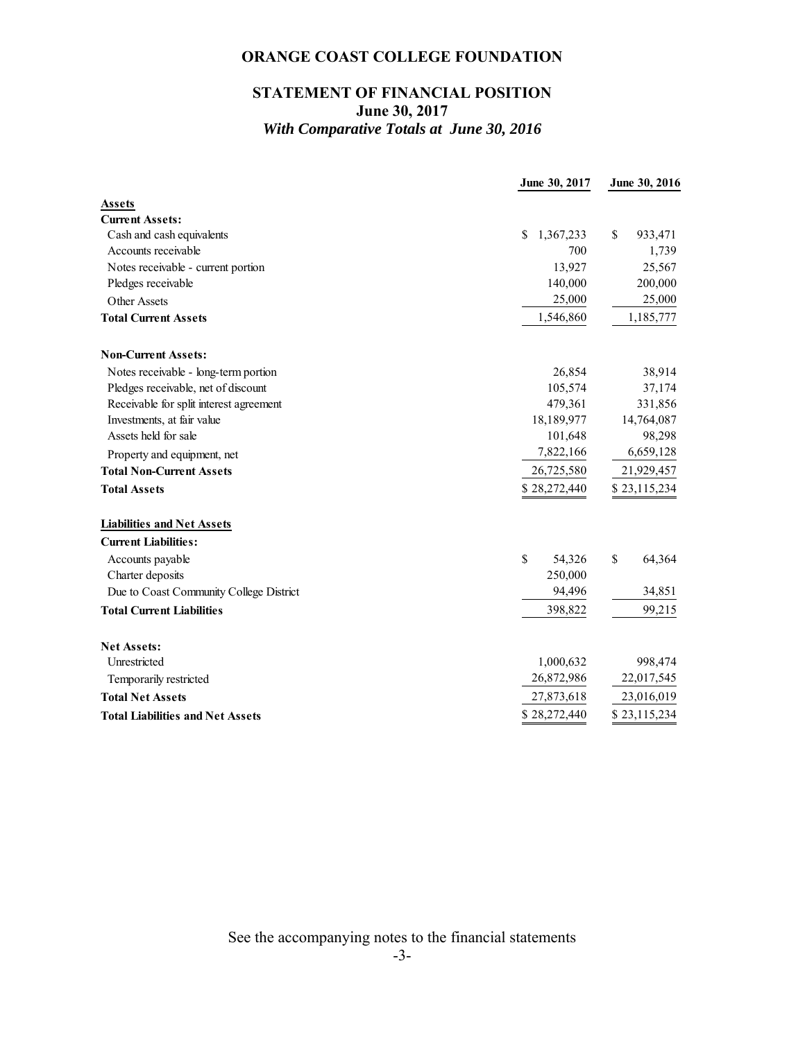# **STATEMENT OF FINANCIAL POSITION June 30, 2017**  *With Comparative Totals at June 30, 2016*

|                                         | June 30, 2017  | June 30, 2016 |  |
|-----------------------------------------|----------------|---------------|--|
| <b>Assets</b>                           |                |               |  |
| <b>Current Assets:</b>                  |                |               |  |
| Cash and cash equivalents               | S<br>1,367,233 | \$<br>933,471 |  |
| Accounts receivable                     | 700            | 1,739         |  |
| Notes receivable - current portion      | 13,927         | 25,567        |  |
| Pledges receivable                      | 140,000        | 200,000       |  |
| Other Assets                            | 25,000         | 25,000        |  |
| <b>Total Current Assets</b>             | 1,546,860      | 1,185,777     |  |
| <b>Non-Current Assets:</b>              |                |               |  |
| Notes receivable - long-term portion    | 26,854         | 38,914        |  |
| Pledges receivable, net of discount     | 105,574        | 37,174        |  |
| Receivable for split interest agreement | 479,361        | 331,856       |  |
| Investments, at fair value              | 18,189,977     | 14,764,087    |  |
| Assets held for sale                    | 101,648        | 98,298        |  |
| Property and equipment, net             | 7,822,166      | 6,659,128     |  |
| <b>Total Non-Current Assets</b>         | 26,725,580     | 21,929,457    |  |
| <b>Total Assets</b>                     | \$28,272,440   | \$23,115,234  |  |
| <b>Liabilities and Net Assets</b>       |                |               |  |
| <b>Current Liabilities:</b>             |                |               |  |
| Accounts payable                        | \$<br>54,326   | \$<br>64,364  |  |
| Charter deposits                        | 250,000        |               |  |
| Due to Coast Community College District | 94,496         | 34,851        |  |
| <b>Total Current Liabilities</b>        | 398,822        | 99,215        |  |
| <b>Net Assets:</b>                      |                |               |  |
| Unrestricted                            | 1,000,632      | 998,474       |  |
| Temporarily restricted                  | 26,872,986     | 22,017,545    |  |
| <b>Total Net Assets</b>                 | 27,873,618     | 23,016,019    |  |
| <b>Total Liabilities and Net Assets</b> | \$28,272,440   | \$23,115,234  |  |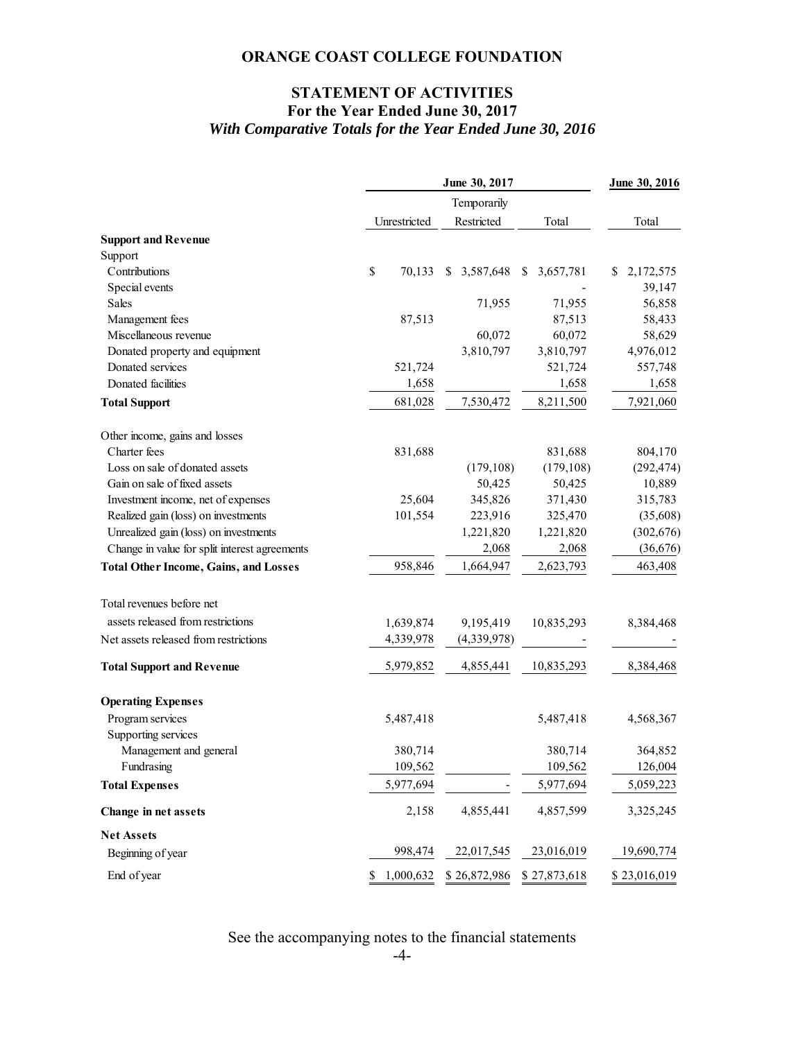# **STATEMENT OF ACTIVITIES For the Year Ended June 30, 2017**  *With Comparative Totals for the Year Ended June 30, 2016*

|                                               |                 | June 30, 2017 |                 | June 30, 2016   |
|-----------------------------------------------|-----------------|---------------|-----------------|-----------------|
|                                               |                 | Temporarily   |                 |                 |
|                                               | Unrestricted    | Restricted    | Total           | Total           |
| <b>Support and Revenue</b>                    |                 |               |                 |                 |
| Support                                       |                 |               |                 |                 |
| Contributions                                 | \$<br>70,133    | \$3,587,648   | 3,657,781<br>S. | 2,172,575<br>S. |
| Special events                                |                 |               |                 | 39,147          |
| Sales                                         |                 | 71,955        | 71,955          | 56,858          |
| Management fees                               | 87,513          |               | 87,513          | 58,433          |
| Miscellaneous revenue                         |                 | 60,072        | 60,072          | 58,629          |
| Donated property and equipment                |                 | 3,810,797     | 3,810,797       | 4,976,012       |
| Donated services                              | 521,724         |               | 521,724         | 557,748         |
| Donated facilities                            | 1,658           |               | 1,658           | 1,658           |
| <b>Total Support</b>                          | 681,028         | 7,530,472     | 8,211,500       | 7,921,060       |
| Other income, gains and losses                |                 |               |                 |                 |
| Charter fees                                  | 831,688         |               | 831,688         | 804,170         |
| Loss on sale of donated assets                |                 | (179, 108)    | (179, 108)      | (292, 474)      |
| Gain on sale of fixed assets                  |                 | 50,425        | 50,425          | 10,889          |
| Investment income, net of expenses            | 25,604          | 345,826       | 371,430         | 315,783         |
| Realized gain (loss) on investments           | 101,554         | 223,916       | 325,470         | (35,608)        |
| Unrealized gain (loss) on investments         |                 | 1,221,820     | 1,221,820       | (302, 676)      |
| Change in value for split interest agreements |                 | 2,068         | 2,068           | (36, 676)       |
| <b>Total Other Income, Gains, and Losses</b>  | 958,846         | 1,664,947     | 2,623,793       | 463,408         |
| Total revenues before net                     |                 |               |                 |                 |
| assets released from restrictions             | 1,639,874       | 9,195,419     | 10,835,293      | 8,384,468       |
| Net assets released from restrictions         | 4,339,978       | (4,339,978)   |                 |                 |
|                                               |                 |               |                 |                 |
| <b>Total Support and Revenue</b>              | 5,979,852       | 4,855,441     | 10,835,293      | 8,384,468       |
| <b>Operating Expenses</b>                     |                 |               |                 |                 |
| Program services                              | 5,487,418       |               | 5,487,418       | 4,568,367       |
| Supporting services                           |                 |               |                 |                 |
| Management and general                        | 380,714         |               | 380,714         | 364,852         |
| Fundrasing                                    | 109,562         |               | 109,562         | 126,004         |
| <b>Total Expenses</b>                         | 5,977,694       |               | 5,977,694       | 5,059,223       |
| Change in net assets                          | 2,158           | 4,855,441     | 4,857,599       | 3,325,245       |
| <b>Net Assets</b>                             |                 |               |                 |                 |
| Beginning of year                             | 998,474         | 22,017,545    | 23,016,019      | 19,690,774      |
| End of year                                   | 1,000,632<br>\$ | \$26,872,986  | \$27,873,618    | \$23,016,019    |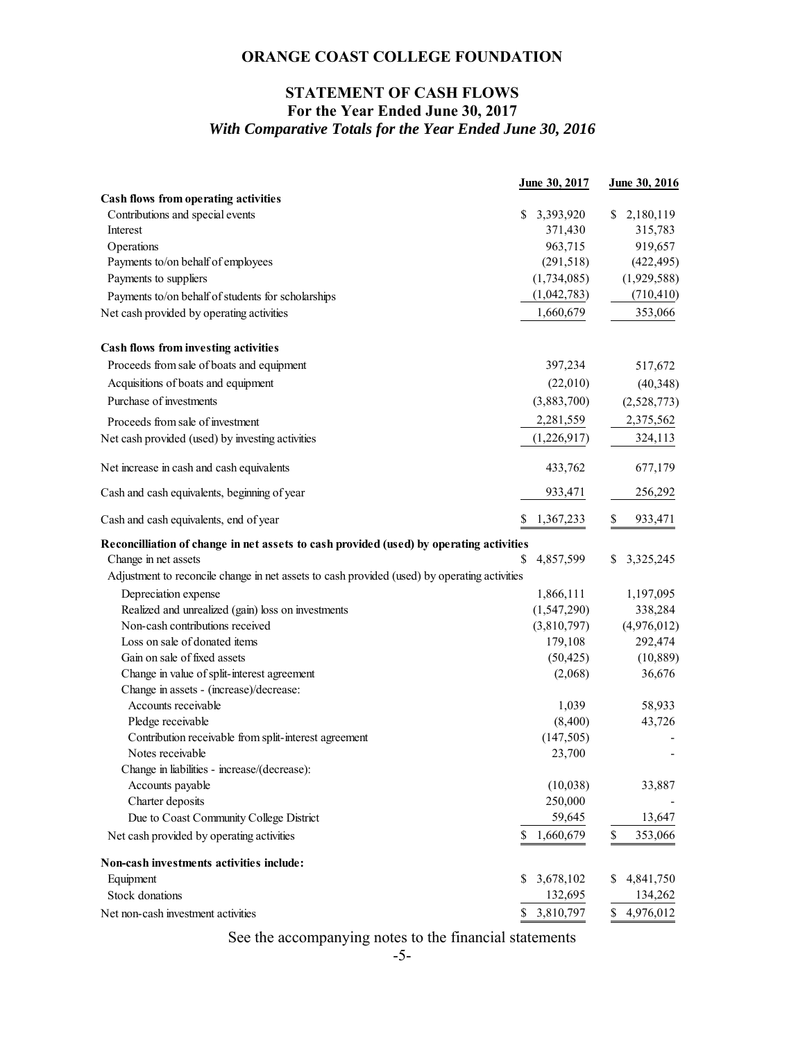# **STATEMENT OF CASH FLOWS For the Year Ended June 30, 2017**  *With Comparative Totals for the Year Ended June 30, 2016*

|                                                                                              | June 30, 2017   | June 30, 2016          |
|----------------------------------------------------------------------------------------------|-----------------|------------------------|
| Cash flows from operating activities                                                         |                 |                        |
| Contributions and special events                                                             | \$<br>3,393,920 | \$2,180,119            |
| Interest                                                                                     | 371,430         | 315,783                |
| Operations                                                                                   | 963,715         | 919,657                |
| Payments to/on behalf of employees                                                           | (291, 518)      | (422, 495)             |
| Payments to suppliers                                                                        | (1,734,085)     | (1,929,588)            |
| Payments to/on behalf of students for scholarships                                           | (1,042,783)     | (710, 410)             |
| Net cash provided by operating activities                                                    | 1,660,679       | 353,066                |
| Cash flows from investing activities                                                         |                 |                        |
| Proceeds from sale of boats and equipment                                                    | 397,234         | 517,672                |
| Acquisitions of boats and equipment                                                          | (22,010)        | (40, 348)              |
| Purchase of investments                                                                      | (3,883,700)     | (2,528,773)            |
|                                                                                              | 2,281,559       | 2,375,562              |
| Proceeds from sale of investment                                                             |                 |                        |
| Net cash provided (used) by investing activities                                             | (1,226,917)     | 324,113                |
| Net increase in cash and cash equivalents                                                    | 433,762         | 677,179                |
| Cash and cash equivalents, beginning of year                                                 | 933,471         | 256,292                |
| Cash and cash equivalents, end of year                                                       | 1,367,233<br>S. | \$<br>933,471          |
| Reconcilliation of change in net assets to cash provided (used) by operating activities      |                 |                        |
| Change in net assets                                                                         | \$<br>4,857,599 | 3,325,245<br>\$        |
| Adjustment to reconcile change in net assets to cash provided (used) by operating activities |                 |                        |
| Depreciation expense                                                                         | 1,866,111       | 1,197,095              |
| Realized and unrealized (gain) loss on investments                                           | (1, 547, 290)   | 338,284                |
| Non-cash contributions received                                                              | (3,810,797)     | (4,976,012)            |
| Loss on sale of donated items                                                                | 179,108         | 292,474                |
| Gain on sale of fixed assets                                                                 | (50, 425)       | (10, 889)              |
| Change in value of split-interest agreement                                                  | (2,068)         | 36,676                 |
| Change in assets - (increase)/decrease:                                                      |                 |                        |
| Accounts receivable                                                                          | 1,039           | 58,933                 |
| Pledge receivable                                                                            | (8,400)         | 43,726                 |
| Contribution receivable from split-interest agreement                                        | (147, 505)      |                        |
| Notes receivable                                                                             | 23,700          |                        |
| Change in liabilities - increase/(decrease):                                                 |                 |                        |
| Accounts payable                                                                             | (10,038)        | 33,887                 |
| Charter deposits                                                                             | 250,000         |                        |
| Due to Coast Community College District                                                      | 59,645          | 13,647                 |
| Net cash provided by operating activities                                                    | 1,660,679<br>\$ | $\mathbb S$<br>353,066 |
| Non-cash investments activities include:                                                     |                 |                        |
| Equipment                                                                                    | 3,678,102<br>\$ | 4,841,750<br>S         |
| Stock donations                                                                              | 132,695         | 134,262                |
| Net non-cash investment activities                                                           | \$ 3,810,797    | \$4,976,012            |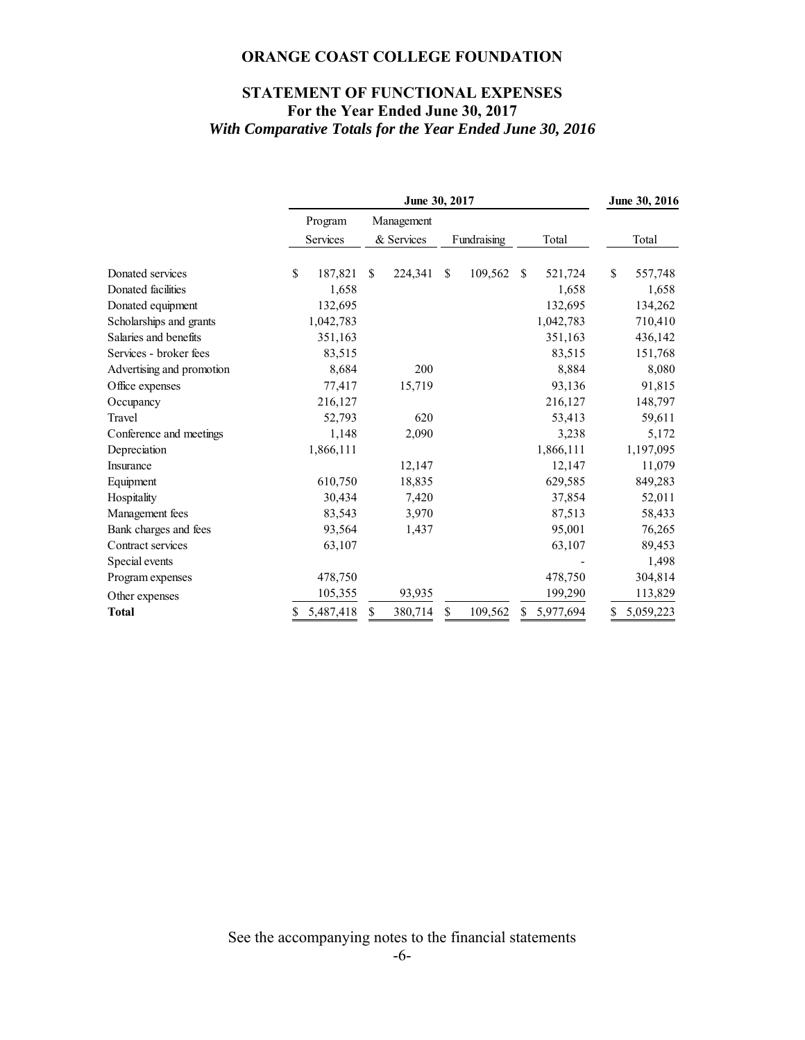# **STATEMENT OF FUNCTIONAL EXPENSES For the Year Ended June 30, 2017**  *With Comparative Totals for the Year Ended June 30, 2016*

|                           |    | June 30, 2017 |    |            |               |             | June 30, 2016 |           |                 |
|---------------------------|----|---------------|----|------------|---------------|-------------|---------------|-----------|-----------------|
|                           |    | Program       |    | Management |               |             |               |           |                 |
|                           |    | Services      |    | & Services |               | Fundraising |               | Total     | Total           |
| Donated services          | \$ | 187,821       | \$ | 224,341    | <sup>\$</sup> | 109,562     | <sup>\$</sup> | 521,724   | \$<br>557,748   |
| Donated facilities        |    | 1,658         |    |            |               |             |               | 1,658     | 1,658           |
| Donated equipment         |    | 132,695       |    |            |               |             |               | 132,695   | 134,262         |
| Scholarships and grants   |    | 1,042,783     |    |            |               |             |               | 1,042,783 | 710,410         |
| Salaries and benefits     |    | 351,163       |    |            |               |             |               | 351,163   | 436,142         |
| Services - broker fees    |    | 83,515        |    |            |               |             |               | 83,515    | 151,768         |
| Advertising and promotion |    | 8,684         |    | 200        |               |             |               | 8,884     | 8,080           |
| Office expenses           |    | 77,417        |    | 15,719     |               |             |               | 93,136    | 91,815          |
| Occupancy                 |    | 216,127       |    |            |               |             |               | 216,127   | 148,797         |
| Travel                    |    | 52,793        |    | 620        |               |             |               | 53,413    | 59,611          |
| Conference and meetings   |    | 1,148         |    | 2,090      |               |             |               | 3,238     | 5,172           |
| Depreciation              |    | 1,866,111     |    |            |               |             |               | 1,866,111 | 1,197,095       |
| Insurance                 |    |               |    | 12,147     |               |             |               | 12,147    | 11,079          |
| Equipment                 |    | 610,750       |    | 18,835     |               |             |               | 629,585   | 849,283         |
| Hospitality               |    | 30,434        |    | 7,420      |               |             |               | 37,854    | 52,011          |
| Management fees           |    | 83,543        |    | 3,970      |               |             |               | 87,513    | 58,433          |
| Bank charges and fees     |    | 93,564        |    | 1,437      |               |             |               | 95,001    | 76,265          |
| Contract services         |    | 63,107        |    |            |               |             |               | 63,107    | 89,453          |
| Special events            |    |               |    |            |               |             |               |           | 1,498           |
| Program expenses          |    | 478,750       |    |            |               |             |               | 478,750   | 304,814         |
| Other expenses            |    | 105,355       |    | 93,935     |               |             |               | 199,290   | 113,829         |
| <b>Total</b>              | S  | 5,487,418     | \$ | 380,714    | \$            | 109,562     | \$            | 5,977,694 | \$<br>5,059,223 |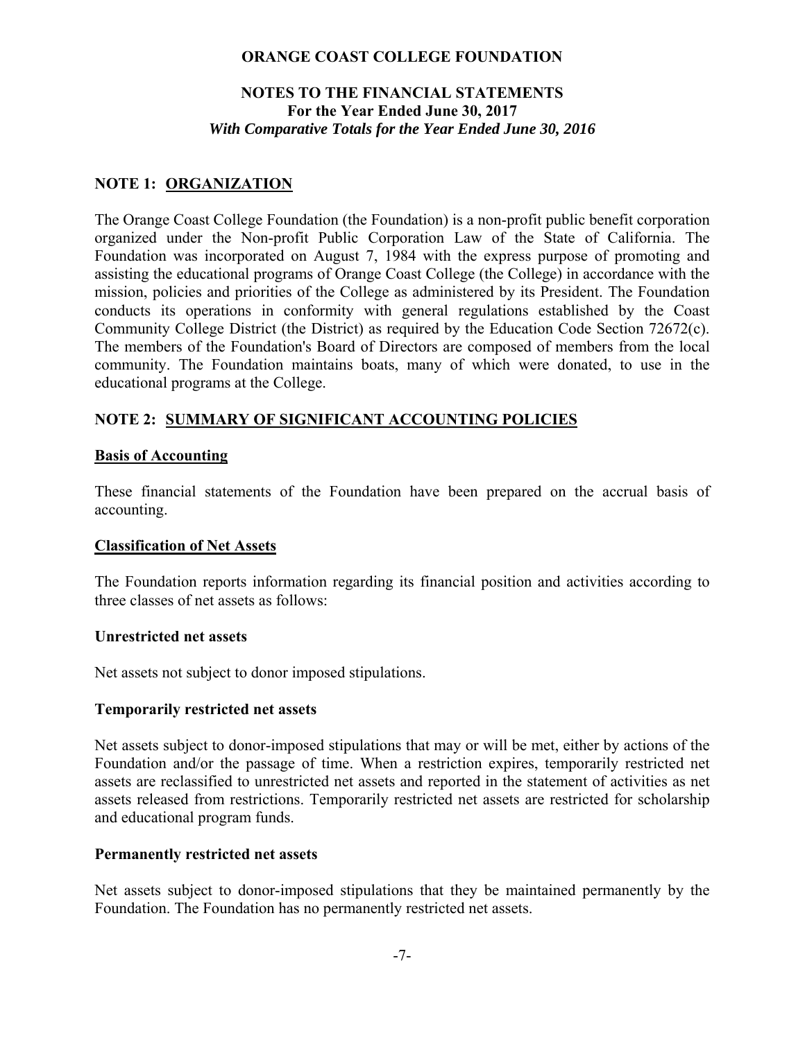## **NOTES TO THE FINANCIAL STATEMENTS For the Year Ended June 30, 2017**  *With Comparative Totals for the Year Ended June 30, 2016*

### **NOTE 1: ORGANIZATION**

The Orange Coast College Foundation (the Foundation) is a non-profit public benefit corporation organized under the Non-profit Public Corporation Law of the State of California. The Foundation was incorporated on August 7, 1984 with the express purpose of promoting and assisting the educational programs of Orange Coast College (the College) in accordance with the mission, policies and priorities of the College as administered by its President. The Foundation conducts its operations in conformity with general regulations established by the Coast Community College District (the District) as required by the Education Code Section 72672(c). The members of the Foundation's Board of Directors are composed of members from the local community. The Foundation maintains boats, many of which were donated, to use in the educational programs at the College.

# **NOTE 2: SUMMARY OF SIGNIFICANT ACCOUNTING POLICIES**

#### **Basis of Accounting**

These financial statements of the Foundation have been prepared on the accrual basis of accounting.

#### **Classification of Net Assets**

The Foundation reports information regarding its financial position and activities according to three classes of net assets as follows:

#### **Unrestricted net assets**

Net assets not subject to donor imposed stipulations.

#### **Temporarily restricted net assets**

Net assets subject to donor-imposed stipulations that may or will be met, either by actions of the Foundation and/or the passage of time. When a restriction expires, temporarily restricted net assets are reclassified to unrestricted net assets and reported in the statement of activities as net assets released from restrictions. Temporarily restricted net assets are restricted for scholarship and educational program funds.

#### **Permanently restricted net assets**

Net assets subject to donor-imposed stipulations that they be maintained permanently by the Foundation. The Foundation has no permanently restricted net assets.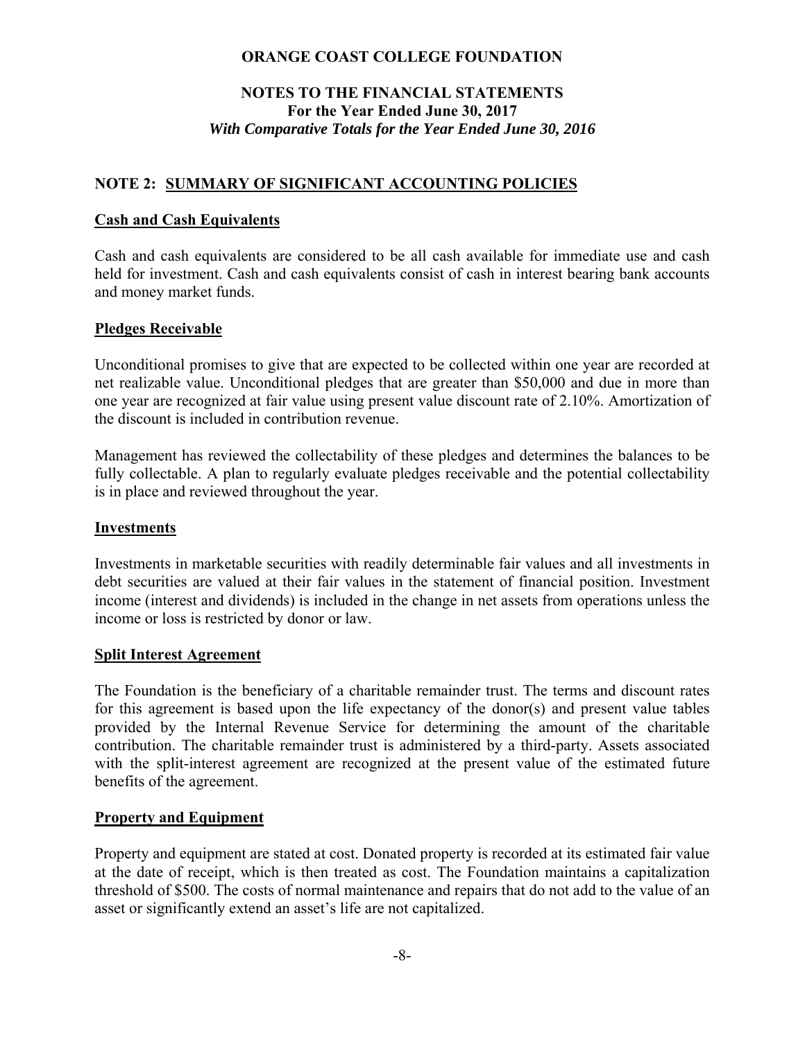# **NOTES TO THE FINANCIAL STATEMENTS For the Year Ended June 30, 2017**  *With Comparative Totals for the Year Ended June 30, 2016*

# **NOTE 2: SUMMARY OF SIGNIFICANT ACCOUNTING POLICIES**

## **Cash and Cash Equivalents**

Cash and cash equivalents are considered to be all cash available for immediate use and cash held for investment. Cash and cash equivalents consist of cash in interest bearing bank accounts and money market funds.

## **Pledges Receivable**

Unconditional promises to give that are expected to be collected within one year are recorded at net realizable value. Unconditional pledges that are greater than \$50,000 and due in more than one year are recognized at fair value using present value discount rate of 2.10%. Amortization of the discount is included in contribution revenue.

Management has reviewed the collectability of these pledges and determines the balances to be fully collectable. A plan to regularly evaluate pledges receivable and the potential collectability is in place and reviewed throughout the year.

#### **Investments**

Investments in marketable securities with readily determinable fair values and all investments in debt securities are valued at their fair values in the statement of financial position. Investment income (interest and dividends) is included in the change in net assets from operations unless the income or loss is restricted by donor or law.

#### **Split Interest Agreement**

The Foundation is the beneficiary of a charitable remainder trust. The terms and discount rates for this agreement is based upon the life expectancy of the donor(s) and present value tables provided by the Internal Revenue Service for determining the amount of the charitable contribution. The charitable remainder trust is administered by a third-party. Assets associated with the split-interest agreement are recognized at the present value of the estimated future benefits of the agreement.

#### **Property and Equipment**

Property and equipment are stated at cost. Donated property is recorded at its estimated fair value at the date of receipt, which is then treated as cost. The Foundation maintains a capitalization threshold of \$500. The costs of normal maintenance and repairs that do not add to the value of an asset or significantly extend an asset's life are not capitalized.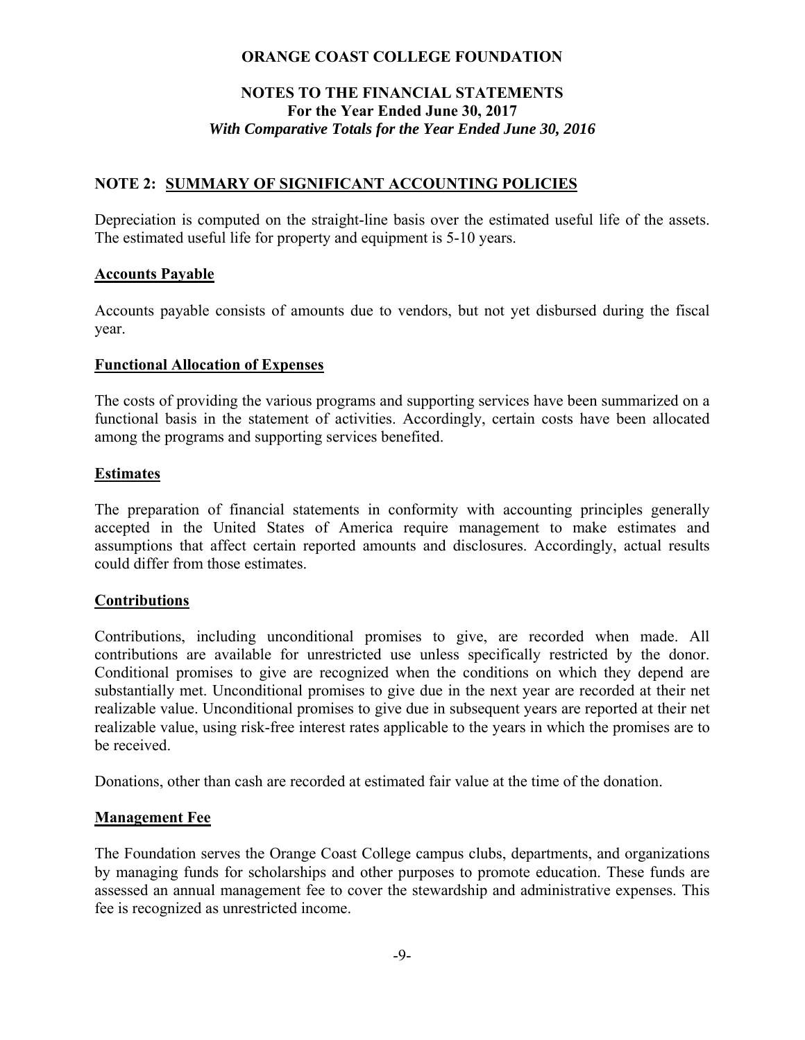# **NOTES TO THE FINANCIAL STATEMENTS For the Year Ended June 30, 2017**  *With Comparative Totals for the Year Ended June 30, 2016*

# **NOTE 2: SUMMARY OF SIGNIFICANT ACCOUNTING POLICIES**

Depreciation is computed on the straight-line basis over the estimated useful life of the assets. The estimated useful life for property and equipment is 5-10 years.

#### **Accounts Payable**

Accounts payable consists of amounts due to vendors, but not yet disbursed during the fiscal year.

#### **Functional Allocation of Expenses**

The costs of providing the various programs and supporting services have been summarized on a functional basis in the statement of activities. Accordingly, certain costs have been allocated among the programs and supporting services benefited.

#### **Estimates**

The preparation of financial statements in conformity with accounting principles generally accepted in the United States of America require management to make estimates and assumptions that affect certain reported amounts and disclosures. Accordingly, actual results could differ from those estimates.

#### **Contributions**

Contributions, including unconditional promises to give, are recorded when made. All contributions are available for unrestricted use unless specifically restricted by the donor. Conditional promises to give are recognized when the conditions on which they depend are substantially met. Unconditional promises to give due in the next year are recorded at their net realizable value. Unconditional promises to give due in subsequent years are reported at their net realizable value, using risk-free interest rates applicable to the years in which the promises are to be received.

Donations, other than cash are recorded at estimated fair value at the time of the donation.

#### **Management Fee**

The Foundation serves the Orange Coast College campus clubs, departments, and organizations by managing funds for scholarships and other purposes to promote education. These funds are assessed an annual management fee to cover the stewardship and administrative expenses. This fee is recognized as unrestricted income.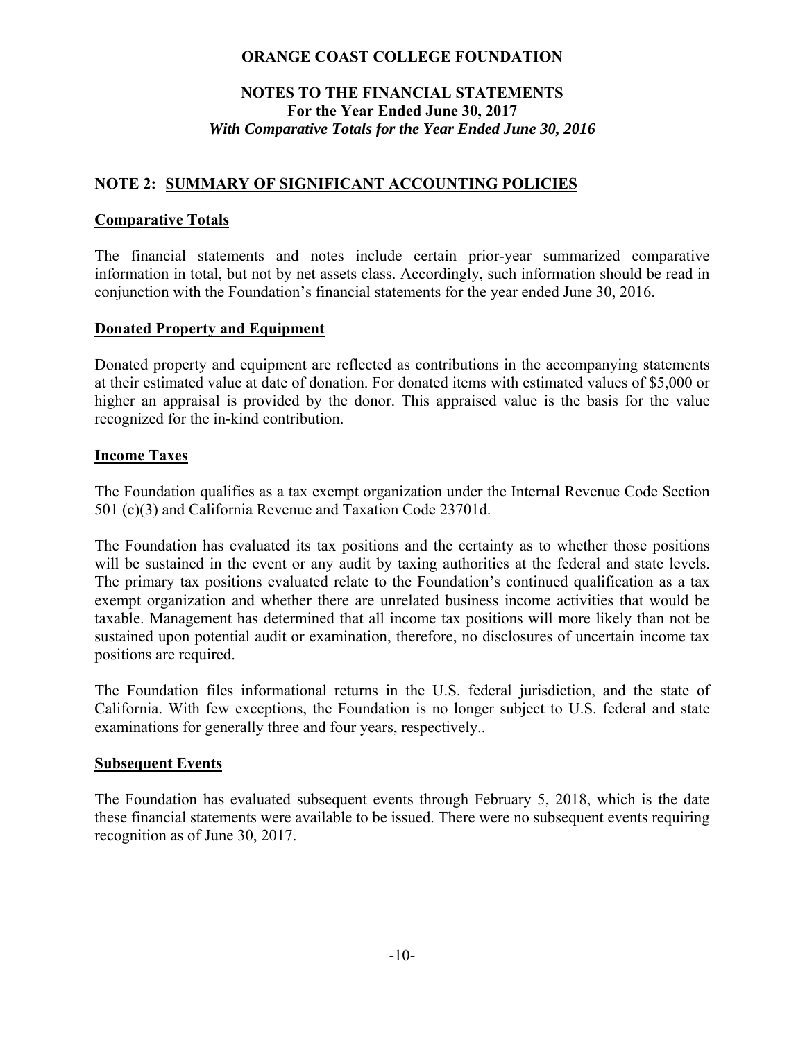# **NOTES TO THE FINANCIAL STATEMENTS For the Year Ended June 30, 2017**  *With Comparative Totals for the Year Ended June 30, 2016*

# **NOTE 2: SUMMARY OF SIGNIFICANT ACCOUNTING POLICIES**

## **Comparative Totals**

The financial statements and notes include certain prior-year summarized comparative information in total, but not by net assets class. Accordingly, such information should be read in conjunction with the Foundation's financial statements for the year ended June 30, 2016.

## **Donated Property and Equipment**

Donated property and equipment are reflected as contributions in the accompanying statements at their estimated value at date of donation. For donated items with estimated values of \$5,000 or higher an appraisal is provided by the donor. This appraised value is the basis for the value recognized for the in-kind contribution.

#### **Income Taxes**

The Foundation qualifies as a tax exempt organization under the Internal Revenue Code Section 501 (c)(3) and California Revenue and Taxation Code 23701d.

The Foundation has evaluated its tax positions and the certainty as to whether those positions will be sustained in the event or any audit by taxing authorities at the federal and state levels. The primary tax positions evaluated relate to the Foundation's continued qualification as a tax exempt organization and whether there are unrelated business income activities that would be taxable. Management has determined that all income tax positions will more likely than not be sustained upon potential audit or examination, therefore, no disclosures of uncertain income tax positions are required.

The Foundation files informational returns in the U.S. federal jurisdiction, and the state of California. With few exceptions, the Foundation is no longer subject to U.S. federal and state examinations for generally three and four years, respectively..

#### **Subsequent Events**

The Foundation has evaluated subsequent events through February 5, 2018, which is the date these financial statements were available to be issued. There were no subsequent events requiring recognition as of June 30, 2017.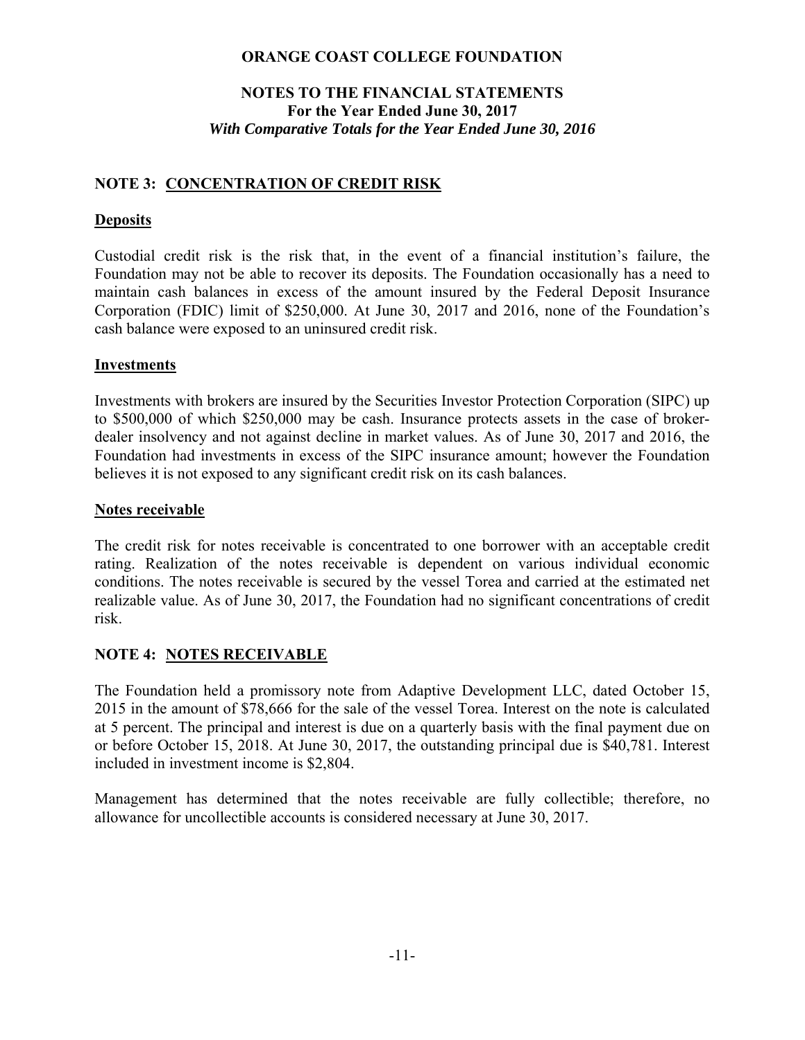# **NOTES TO THE FINANCIAL STATEMENTS For the Year Ended June 30, 2017**  *With Comparative Totals for the Year Ended June 30, 2016*

# **NOTE 3: CONCENTRATION OF CREDIT RISK**

### **Deposits**

Custodial credit risk is the risk that, in the event of a financial institution's failure, the Foundation may not be able to recover its deposits. The Foundation occasionally has a need to maintain cash balances in excess of the amount insured by the Federal Deposit Insurance Corporation (FDIC) limit of \$250,000. At June 30, 2017 and 2016, none of the Foundation's cash balance were exposed to an uninsured credit risk.

#### **Investments**

Investments with brokers are insured by the Securities Investor Protection Corporation (SIPC) up to \$500,000 of which \$250,000 may be cash. Insurance protects assets in the case of brokerdealer insolvency and not against decline in market values. As of June 30, 2017 and 2016, the Foundation had investments in excess of the SIPC insurance amount; however the Foundation believes it is not exposed to any significant credit risk on its cash balances.

#### **Notes receivable**

The credit risk for notes receivable is concentrated to one borrower with an acceptable credit rating. Realization of the notes receivable is dependent on various individual economic conditions. The notes receivable is secured by the vessel Torea and carried at the estimated net realizable value. As of June 30, 2017, the Foundation had no significant concentrations of credit risk.

#### **NOTE 4: NOTES RECEIVABLE**

The Foundation held a promissory note from Adaptive Development LLC, dated October 15, 2015 in the amount of \$78,666 for the sale of the vessel Torea. Interest on the note is calculated at 5 percent. The principal and interest is due on a quarterly basis with the final payment due on or before October 15, 2018. At June 30, 2017, the outstanding principal due is \$40,781. Interest included in investment income is \$2,804.

Management has determined that the notes receivable are fully collectible; therefore, no allowance for uncollectible accounts is considered necessary at June 30, 2017.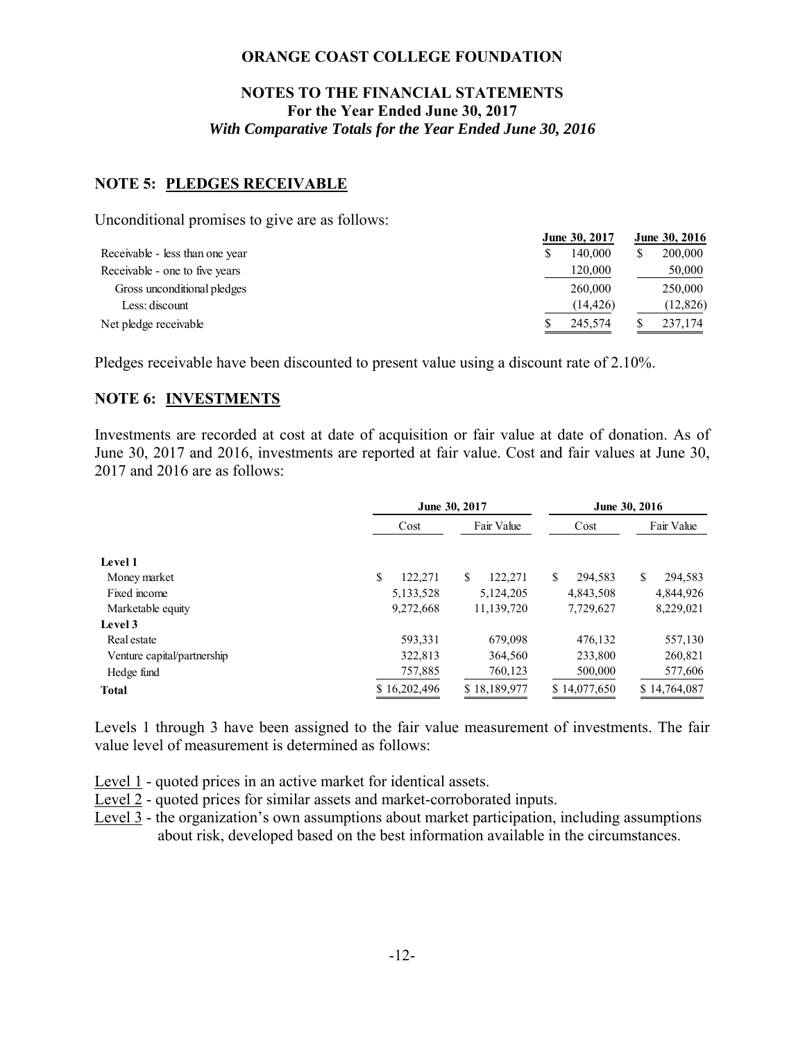### **NOTES TO THE FINANCIAL STATEMENTS For the Year Ended June 30, 2017**  *With Comparative Totals for the Year Ended June 30, 2016*

#### **NOTE 5: PLEDGES RECEIVABLE**

Unconditional promises to give are as follows:

|          |               | June 30, 2016 |
|----------|---------------|---------------|
| 140.000  | S             | 200,000       |
| 120,000  |               | 50,000        |
| 260,000  |               | 250,000       |
| (14.426) |               | (12, 826)     |
| 245.574  |               | 237.174       |
|          | June 30, 2017 |               |

Pledges receivable have been discounted to present value using a discount rate of 2.10%.

### **NOTE 6: INVESTMENTS**

Investments are recorded at cost at date of acquisition or fair value at date of donation. As of June 30, 2017 and 2016, investments are reported at fair value. Cost and fair values at June 30, 2017 and 2016 are as follows:

|                             |               | June 30, 2017 |               |               |
|-----------------------------|---------------|---------------|---------------|---------------|
|                             | Cost          | Fair Value    | Cost          | Fair Value    |
| Level 1                     |               |               |               |               |
| Money market                | \$<br>122,271 | \$<br>122,271 | \$<br>294.583 | \$<br>294,583 |
| Fixed income                | 5,133,528     | 5,124,205     | 4,843,508     | 4,844,926     |
| Marketable equity           | 9,272,668     | 11,139,720    | 7,729,627     | 8,229,021     |
| Level 3                     |               |               |               |               |
| Real estate                 | 593.331       | 679,098       | 476,132       | 557,130       |
| Venture capital/partnership | 322,813       | 364,560       | 233,800       | 260,821       |
| Hedge fund                  | 757,885       | 760,123       | 500,000       | 577,606       |
| <b>Total</b>                | \$16,202,496  | \$18,189,977  | \$14,077,650  | \$14,764,087  |

Levels 1 through 3 have been assigned to the fair value measurement of investments. The fair value level of measurement is determined as follows:

Level 1 - quoted prices in an active market for identical assets.

- Level 2 quoted prices for similar assets and market-corroborated inputs.
- Level 3 the organization's own assumptions about market participation, including assumptions about risk, developed based on the best information available in the circumstances.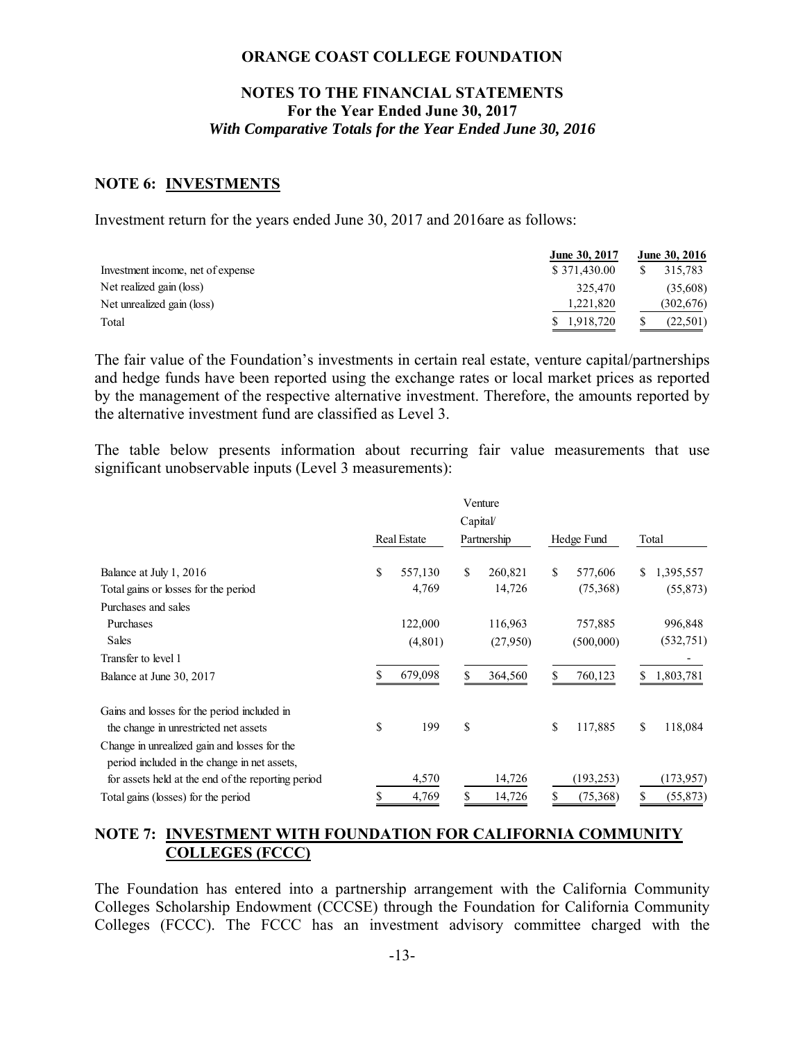### **NOTES TO THE FINANCIAL STATEMENTS For the Year Ended June 30, 2017**  *With Comparative Totals for the Year Ended June 30, 2016*

#### **NOTE 6: INVESTMENTS**

Investment return for the years ended June 30, 2017 and 2016are as follows:

|                                   | June 30, 2017 | June 30, 2016 |
|-----------------------------------|---------------|---------------|
| Investment income, net of expense | \$371,430.00  | 315.783       |
| Net realized gain (loss)          | 325,470       | (35,608)      |
| Net unrealized gain (loss)        | 1,221,820     | (302, 676)    |
| Total                             | \$1,918,720   | (22, 501)     |

The fair value of the Foundation's investments in certain real estate, venture capital/partnerships and hedge funds have been reported using the exchange rates or local market prices as reported by the management of the respective alternative investment. Therefore, the amounts reported by the alternative investment fund are classified as Level 3.

The table below presents information about recurring fair value measurements that use significant unobservable inputs (Level 3 measurements):

|                                                    |    |                    | Capital | Venture     |                |                 |
|----------------------------------------------------|----|--------------------|---------|-------------|----------------|-----------------|
|                                                    |    | <b>Real Estate</b> |         | Partnership | Hedge Fund     | Total           |
| Balance at July 1, 2016                            | \$ | 557,130            | \$      | 260,821     | \$<br>577,606  | \$<br>1,395,557 |
| Total gains or losses for the period               |    | 4,769              |         | 14,726      | (75,368)       | (55, 873)       |
| Purchases and sales                                |    |                    |         |             |                |                 |
| Purchases                                          |    | 122,000            |         | 116,963     | 757,885        | 996,848         |
| <b>Sales</b>                                       |    | (4,801)            |         | (27,950)    | (500,000)      | (532, 751)      |
| Transfer to level 1                                |    |                    |         |             |                |                 |
| Balance at June 30, 2017                           | S  | 679,098            | S       | 364,560     | \$<br>760,123  | \$<br>1,803,781 |
| Gains and losses for the period included in        |    |                    |         |             |                |                 |
| the change in unrestricted net assets              | \$ | 199                | \$      |             | \$<br>117,885  | \$<br>118,084   |
| Change in unrealized gain and losses for the       |    |                    |         |             |                |                 |
| period included in the change in net assets,       |    |                    |         |             |                |                 |
| for assets held at the end of the reporting period |    | 4,570              |         | 14,726      | (193, 253)     | (173, 957)      |
| Total gains (losses) for the period                | S  | 4,769              |         | 14,726      | \$<br>(75,368) | \$<br>(55, 873) |

# **NOTE 7: INVESTMENT WITH FOUNDATION FOR CALIFORNIA COMMUNITY COLLEGES (FCCC)**

The Foundation has entered into a partnership arrangement with the California Community Colleges Scholarship Endowment (CCCSE) through the Foundation for California Community Colleges (FCCC). The FCCC has an investment advisory committee charged with the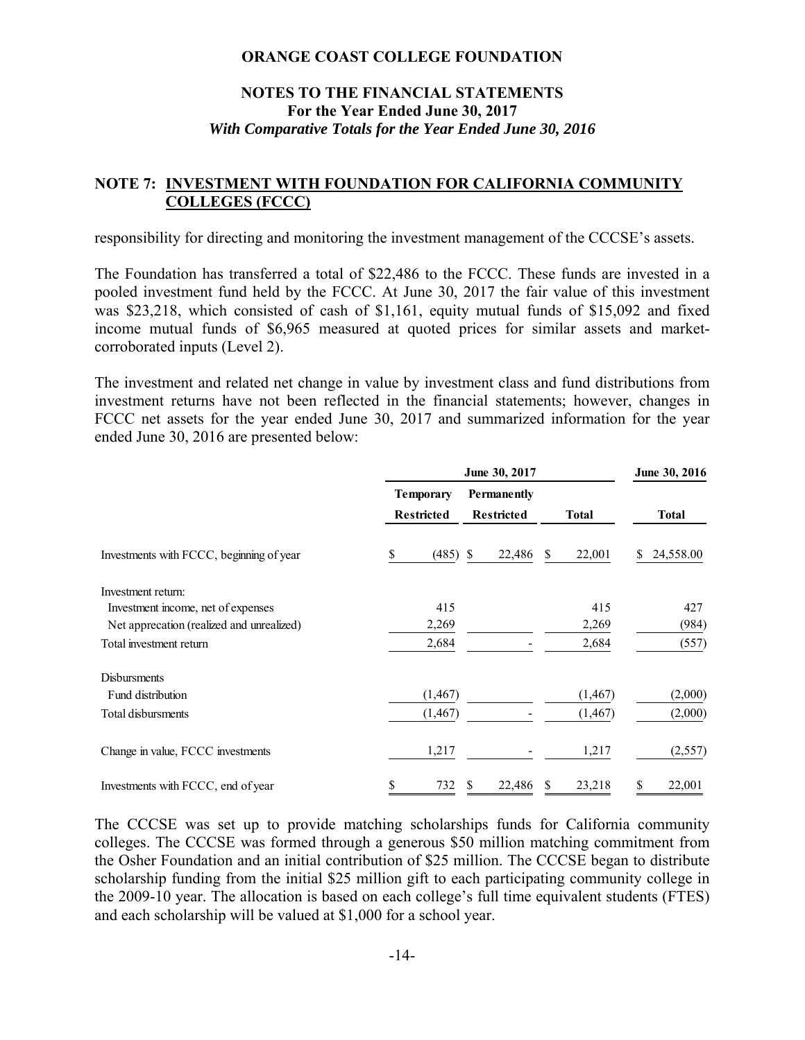#### **NOTES TO THE FINANCIAL STATEMENTS For the Year Ended June 30, 2017**  *With Comparative Totals for the Year Ended June 30, 2016*

# **NOTE 7: INVESTMENT WITH FOUNDATION FOR CALIFORNIA COMMUNITY COLLEGES (FCCC)**

responsibility for directing and monitoring the investment management of the CCCSE's assets.

The Foundation has transferred a total of \$22,486 to the FCCC. These funds are invested in a pooled investment fund held by the FCCC. At June 30, 2017 the fair value of this investment was \$23,218, which consisted of cash of \$1,161, equity mutual funds of \$15,092 and fixed income mutual funds of \$6,965 measured at quoted prices for similar assets and marketcorroborated inputs (Level 2).

The investment and related net change in value by investment class and fund distributions from investment returns have not been reflected in the financial statements; however, changes in FCCC net assets for the year ended June 30, 2017 and summarized information for the year ended June 30, 2016 are presented below:

|                                           | June 30, 2017 |                   |     |                   |   |              | June 30, 2016 |              |
|-------------------------------------------|---------------|-------------------|-----|-------------------|---|--------------|---------------|--------------|
|                                           |               | Temporary         |     | Permanently       |   |              |               |              |
|                                           |               | <b>Restricted</b> |     | <b>Restricted</b> |   | <b>Total</b> |               | <b>Total</b> |
| Investments with FCCC, beginning of year  | \$            | $(485)$ \$        |     | 22,486            | S | 22,001       | S             | 24,558.00    |
| Investment return:                        |               |                   |     |                   |   |              |               |              |
| Investment income, net of expenses        |               | 415               |     |                   |   | 415          |               | 427          |
| Net apprecation (realized and unrealized) |               | 2,269             |     |                   |   | 2,269        |               | (984)        |
| Total investment return                   |               | 2,684             |     |                   |   | 2,684        |               | (557)        |
| <b>Disbursments</b>                       |               |                   |     |                   |   |              |               |              |
| Fund distribution                         |               | (1, 467)          |     |                   |   | (1, 467)     |               | (2,000)      |
| Total disbursments                        |               | (1, 467)          |     |                   |   | (1, 467)     |               | (2,000)      |
| Change in value, FCCC investments         |               | 1,217             |     |                   |   | 1,217        |               | (2,557)      |
| Investments with FCCC, end of year        |               | 732               | \$. | 22,486            | S | 23,218       | S             | 22,001       |

The CCCSE was set up to provide matching scholarships funds for California community colleges. The CCCSE was formed through a generous \$50 million matching commitment from the Osher Foundation and an initial contribution of \$25 million. The CCCSE began to distribute scholarship funding from the initial \$25 million gift to each participating community college in the 2009-10 year. The allocation is based on each college's full time equivalent students (FTES) and each scholarship will be valued at \$1,000 for a school year.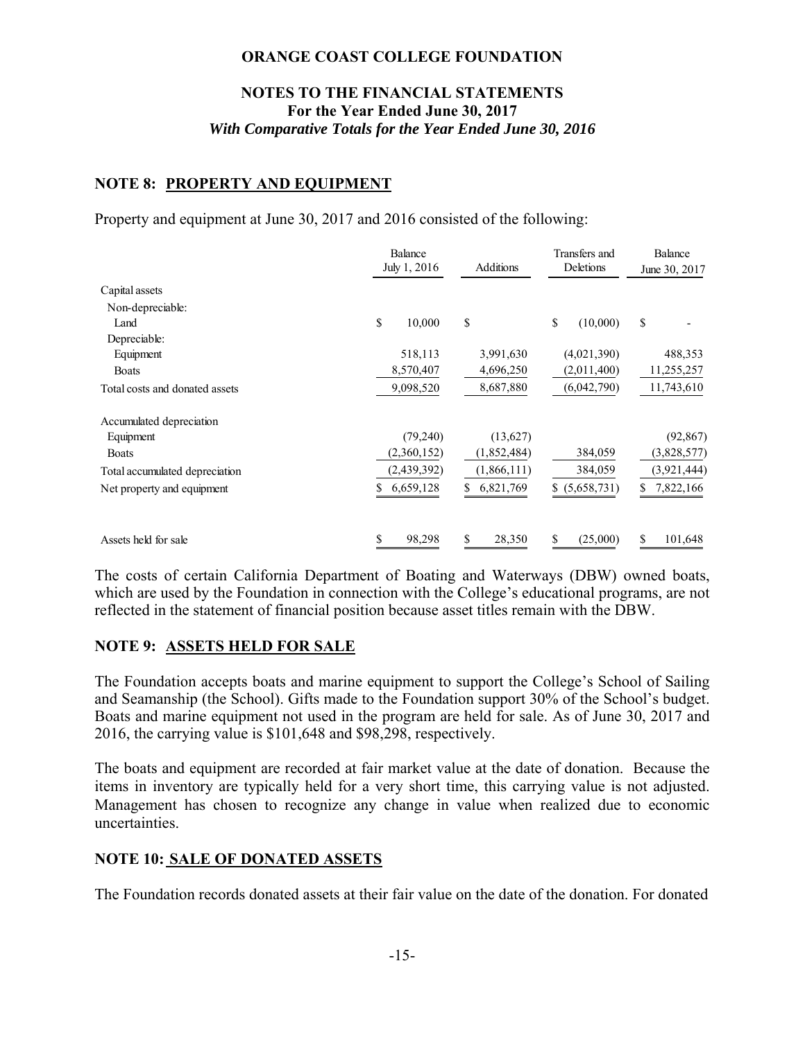# **NOTES TO THE FINANCIAL STATEMENTS For the Year Ended June 30, 2017**  *With Comparative Totals for the Year Ended June 30, 2016*

# **NOTE 8: PROPERTY AND EQUIPMENT**

Property and equipment at June 30, 2017 and 2016 consisted of the following:

|                                | Balance<br>July 1, 2016 | <b>Additions</b> | Transfers and<br>Deletions | Balance<br>June 30, 2017 |
|--------------------------------|-------------------------|------------------|----------------------------|--------------------------|
| Capital assets                 |                         |                  |                            |                          |
| Non-depreciable:               |                         |                  |                            |                          |
| Land                           | \$<br>10,000            | \$               | \$<br>(10,000)             | \$                       |
| Depreciable:                   |                         |                  |                            |                          |
| Equipment                      | 518,113                 | 3,991,630        | (4,021,390)                | 488,353                  |
| <b>Boats</b>                   | 8,570,407               | 4,696,250        | (2,011,400)                | 11,255,257               |
| Total costs and donated assets | 9,098,520               | 8,687,880        | (6,042,790)                | 11,743,610               |
| Accumulated depreciation       |                         |                  |                            |                          |
| Equipment                      | (79,240)                | (13,627)         |                            | (92, 867)                |
| <b>Boats</b>                   | (2,360,152)             | (1,852,484)      | 384,059                    | (3,828,577)              |
| Total accumulated depreciation | (2,439,392)             | (1,866,111)      | 384,059                    | (3,921,444)              |
| Net property and equipment     | 6,659,128<br>S          | 6,821,769<br>\$  | \$ (5,658,731)             | \$<br>7,822,166          |
| Assets held for sale           | \$<br>98,298            | 28,350           | (25,000)                   | S<br>101,648             |

The costs of certain California Department of Boating and Waterways (DBW) owned boats, which are used by the Foundation in connection with the College's educational programs, are not reflected in the statement of financial position because asset titles remain with the DBW.

# **NOTE 9: ASSETS HELD FOR SALE**

The Foundation accepts boats and marine equipment to support the College's School of Sailing and Seamanship (the School). Gifts made to the Foundation support 30% of the School's budget. Boats and marine equipment not used in the program are held for sale. As of June 30, 2017 and 2016, the carrying value is \$101,648 and \$98,298, respectively.

The boats and equipment are recorded at fair market value at the date of donation. Because the items in inventory are typically held for a very short time, this carrying value is not adjusted. Management has chosen to recognize any change in value when realized due to economic uncertainties.

### **NOTE 10: SALE OF DONATED ASSETS**

The Foundation records donated assets at their fair value on the date of the donation. For donated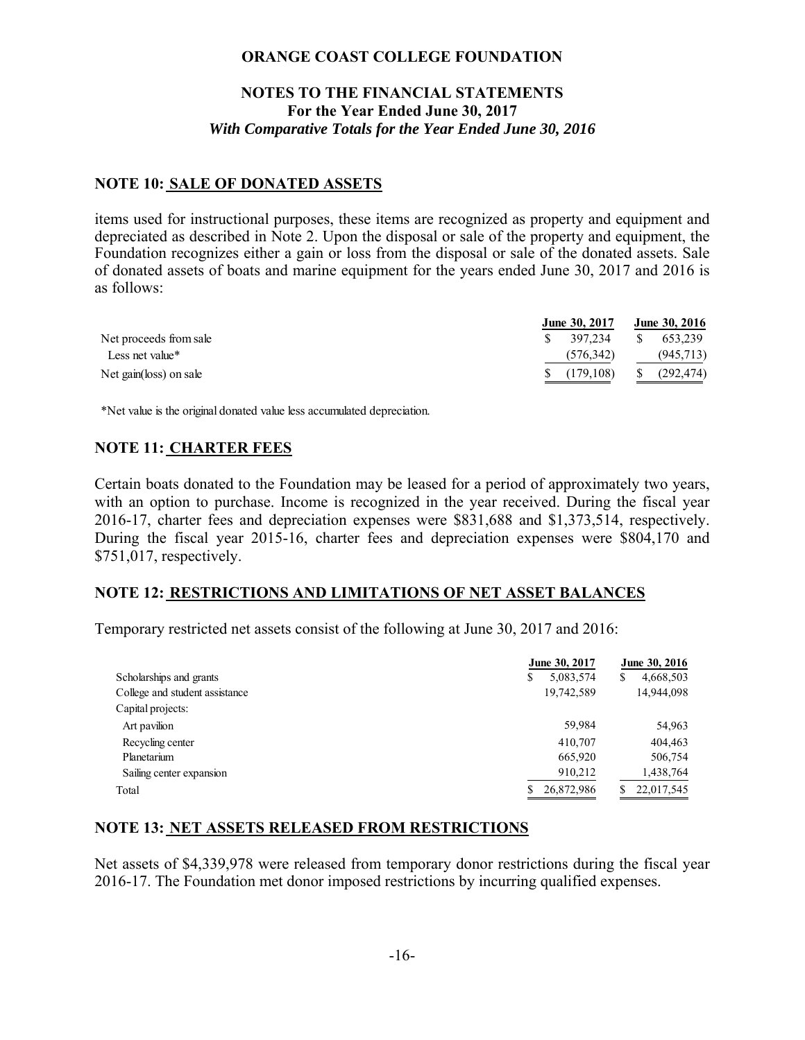# **NOTES TO THE FINANCIAL STATEMENTS For the Year Ended June 30, 2017**  *With Comparative Totals for the Year Ended June 30, 2016*

## **NOTE 10: SALE OF DONATED ASSETS**

items used for instructional purposes, these items are recognized as property and equipment and depreciated as described in Note 2. Upon the disposal or sale of the property and equipment, the Foundation recognizes either a gain or loss from the disposal or sale of the donated assets. Sale of donated assets of boats and marine equipment for the years ended June 30, 2017 and 2016 is as follows:

|                        | June 30, 2017 |            |              | June 30, 2016 |  |  |
|------------------------|---------------|------------|--------------|---------------|--|--|
| Net proceeds from sale |               | 397.234    | S.           | 653.239       |  |  |
| Less net value*        |               | (576, 342) |              | (945, 713)    |  |  |
| Net gain(loss) on sale |               | (179, 108) | <sup>S</sup> | (292, 474)    |  |  |

\*Net value is the original donated value less accumulated depreciation.

## **NOTE 11: CHARTER FEES**

Certain boats donated to the Foundation may be leased for a period of approximately two years, with an option to purchase. Income is recognized in the year received. During the fiscal year 2016-17, charter fees and depreciation expenses were \$831,688 and \$1,373,514, respectively. During the fiscal year 2015-16, charter fees and depreciation expenses were \$804,170 and \$751,017, respectively.

#### **NOTE 12: RESTRICTIONS AND LIMITATIONS OF NET ASSET BALANCES**

Temporary restricted net assets consist of the following at June 30, 2017 and 2016:

|                                | June 30, 2017  | June 30, 2016  |
|--------------------------------|----------------|----------------|
| Scholarships and grants        | 5,083,574<br>S | 4,668,503<br>S |
| College and student assistance | 19,742,589     | 14,944,098     |
| Capital projects:              |                |                |
| Art pavilion                   | 59,984         | 54,963         |
| Recycling center               | 410,707        | 404,463        |
| Planetarium                    | 665,920        | 506,754        |
| Sailing center expansion       | 910,212        | 1,438,764      |
| Total                          | 26,872,986     | 22,017,545     |

#### **NOTE 13: NET ASSETS RELEASED FROM RESTRICTIONS**

Net assets of \$4,339,978 were released from temporary donor restrictions during the fiscal year 2016-17. The Foundation met donor imposed restrictions by incurring qualified expenses.